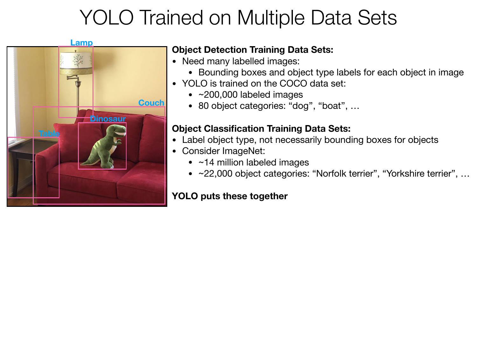

### **Object Detection Training Data Sets:**

- Need many labelled images:
	- Bounding boxes and object type labels for each object in image
- YOLO is trained on the COCO data set:
	- ~200,000 labeled images
	- 80 object categories: "dog", "boat", ...

### **Object Classification Training Data Sets:**

- Label object type, not necessarily bounding boxes for objects
- Consider ImageNet:
	- ~14 million labeled images
	- ~22,000 object categories: "Norfolk terrier", "Yorkshire terrier", …

### **YOLO puts these together**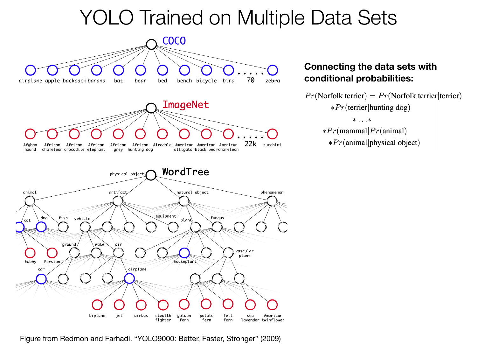

**Connecting the data sets with conditional probabilities:**

 $Pr(Norfolk\,\text{terrier}) = Pr(Norfolk\,\text{terrier}|\text{terrier})$  $*Pr$ (terrier|hunting dog)

 $*...*$ 

 $*Pr(\text{mammal} | Pr(\text{animal})$  $*Pr(animal|physical object)$ 

Figure from Redmon and Farhadi. "YOLO9000: Better, Faster, Stronger" (2009)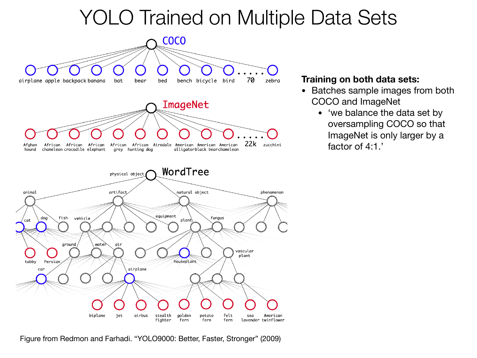

**Training on both data sets:** 

- Batches sample images from both COCO and ImageNet
	- 'we balance the data set by oversampling COCO so that ImageNet is only larger by a factor of 4:1.'

Figure from Redmon and Farhadi. "YOLO9000: Better, Faster, Stronger" (2009)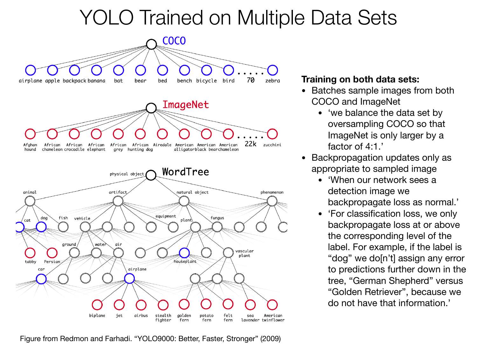

#### **Training on both data sets:**

- Batches sample images from both COCO and ImageNet
	- 'we balance the data set by oversampling COCO so that ImageNet is only larger by a factor of 4:1.
- Backpropagation updates only as appropriate to sampled image
	- 'When our network sees a detection image we backpropagate loss as normal.'
	- 'For classification loss, we only backpropagate loss at or above the corresponding level of the label. For example, if the label is "dog" we do[n't] assign any error to predictions further down in the tree, "German Shepherd" versus "Golden Retriever", because we do not have that information.'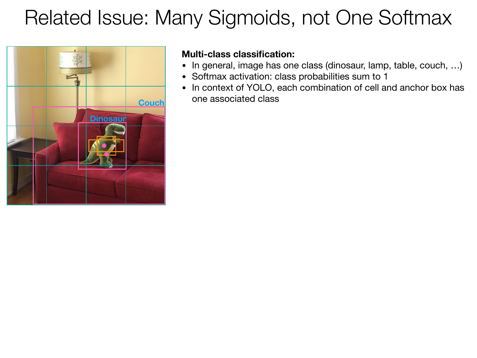# Related Issue: Many Sigmoids, not One Softmax



#### **Multi-class classification:**

- **•** In general, image has one class (dinosaur, lamp, table, couch, …)
- **•** Softmax activation: class probabilities sum to 1
- **•** In context of YOLO, each combination of cell and anchor box has one associated class